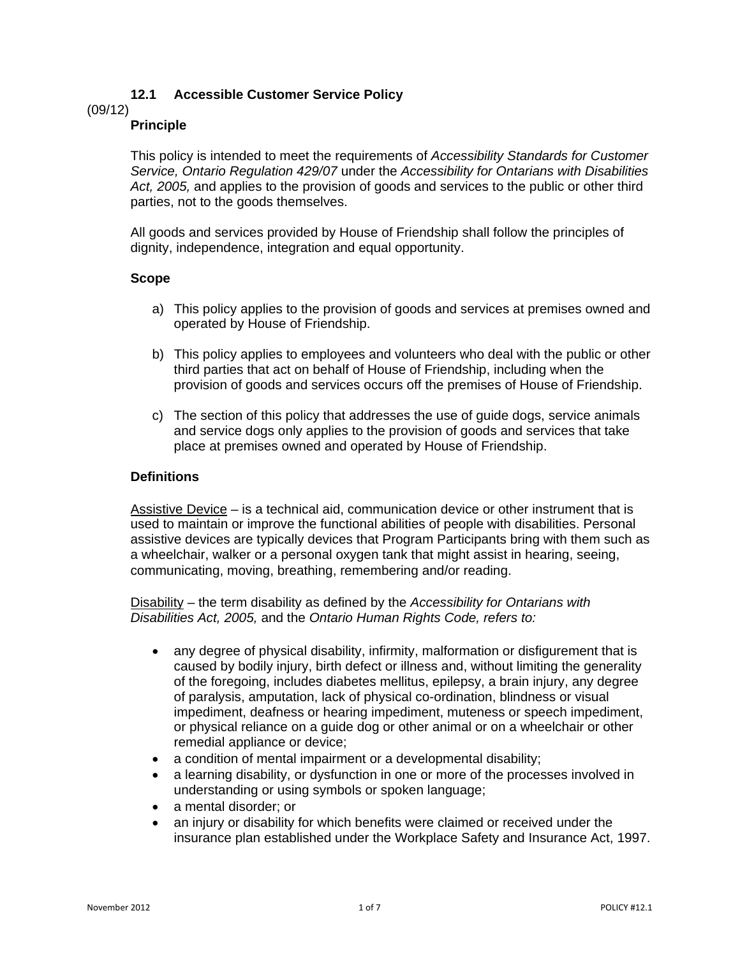# **12.1 Accessible Customer Service Policy**

(09/12)

## **Principle**

This policy is intended to meet the requirements of *Accessibility Standards for Customer Service, Ontario Regulation 429/07* under the *Accessibility for Ontarians with Disabilities Act, 2005,* and applies to the provision of goods and services to the public or other third parties, not to the goods themselves.

All goods and services provided by House of Friendship shall follow the principles of dignity, independence, integration and equal opportunity.

## **Scope**

- a) This policy applies to the provision of goods and services at premises owned and operated by House of Friendship.
- b) This policy applies to employees and volunteers who deal with the public or other third parties that act on behalf of House of Friendship, including when the provision of goods and services occurs off the premises of House of Friendship.
- c) The section of this policy that addresses the use of guide dogs, service animals and service dogs only applies to the provision of goods and services that take place at premises owned and operated by House of Friendship.

## **Definitions**

Assistive Device – is a technical aid, communication device or other instrument that is used to maintain or improve the functional abilities of people with disabilities. Personal assistive devices are typically devices that Program Participants bring with them such as a wheelchair, walker or a personal oxygen tank that might assist in hearing, seeing, communicating, moving, breathing, remembering and/or reading.

Disability – the term disability as defined by the *Accessibility for Ontarians with Disabilities Act, 2005,* and the *Ontario Human Rights Code, refers to:*

- any degree of physical disability, infirmity, malformation or disfigurement that is caused by bodily injury, birth defect or illness and, without limiting the generality of the foregoing, includes diabetes mellitus, epilepsy, a brain injury, any degree of paralysis, amputation, lack of physical co-ordination, blindness or visual impediment, deafness or hearing impediment, muteness or speech impediment, or physical reliance on a guide dog or other animal or on a wheelchair or other remedial appliance or device;
- a condition of mental impairment or a developmental disability;
- a learning disability, or dysfunction in one or more of the processes involved in understanding or using symbols or spoken language;
- a mental disorder; or
- an injury or disability for which benefits were claimed or received under the insurance plan established under the Workplace Safety and Insurance Act, 1997.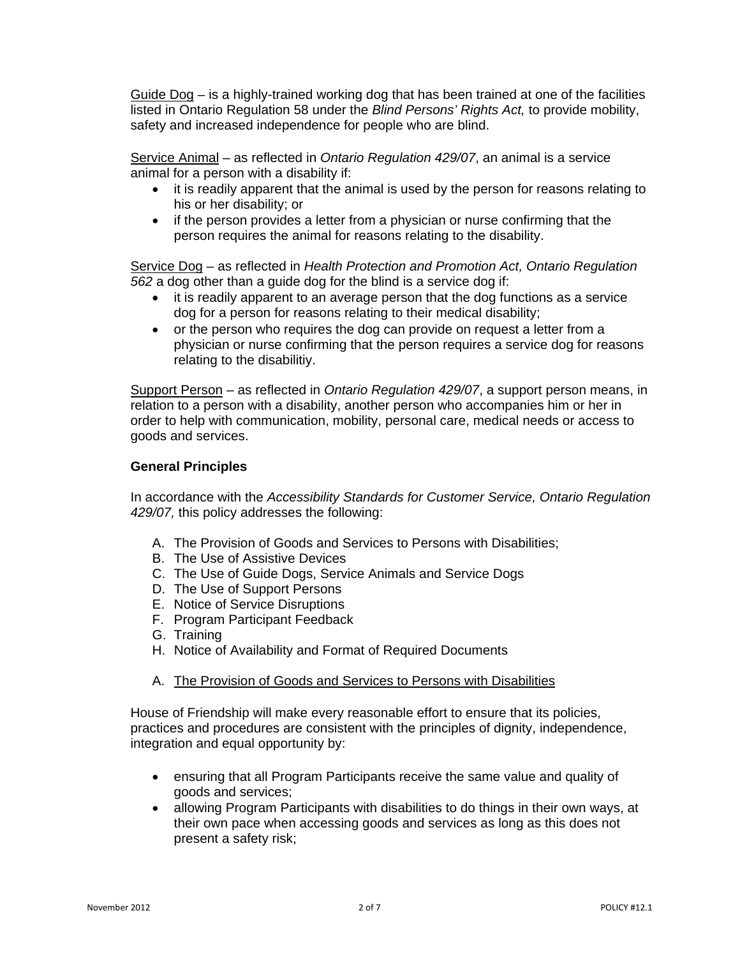Guide Dog – is a highly-trained working dog that has been trained at one of the facilities listed in Ontario Regulation 58 under the *Blind Persons' Rights Act,* to provide mobility, safety and increased independence for people who are blind.

Service Animal – as reflected in *Ontario Regulation 429/07*, an animal is a service animal for a person with a disability if:

- it is readily apparent that the animal is used by the person for reasons relating to his or her disability; or
- if the person provides a letter from a physician or nurse confirming that the person requires the animal for reasons relating to the disability.

Service Dog – as reflected in *Health Protection and Promotion Act, Ontario Regulation 562* a dog other than a guide dog for the blind is a service dog if:

- it is readily apparent to an average person that the dog functions as a service dog for a person for reasons relating to their medical disability;
- or the person who requires the dog can provide on request a letter from a physician or nurse confirming that the person requires a service dog for reasons relating to the disabilitiy.

Support Person – as reflected in *Ontario Regulation 429/07*, a support person means, in relation to a person with a disability, another person who accompanies him or her in order to help with communication, mobility, personal care, medical needs or access to goods and services.

### **General Principles**

In accordance with the *Accessibility Standards for Customer Service, Ontario Regulation 429/07,* this policy addresses the following:

- A. The Provision of Goods and Services to Persons with Disabilities;
- B. The Use of Assistive Devices
- C. The Use of Guide Dogs, Service Animals and Service Dogs
- D. The Use of Support Persons
- E. Notice of Service Disruptions
- F. Program Participant Feedback
- G. Training
- H. Notice of Availability and Format of Required Documents
- A. The Provision of Goods and Services to Persons with Disabilities

House of Friendship will make every reasonable effort to ensure that its policies, practices and procedures are consistent with the principles of dignity, independence, integration and equal opportunity by:

- ensuring that all Program Participants receive the same value and quality of goods and services;
- allowing Program Participants with disabilities to do things in their own ways, at their own pace when accessing goods and services as long as this does not present a safety risk;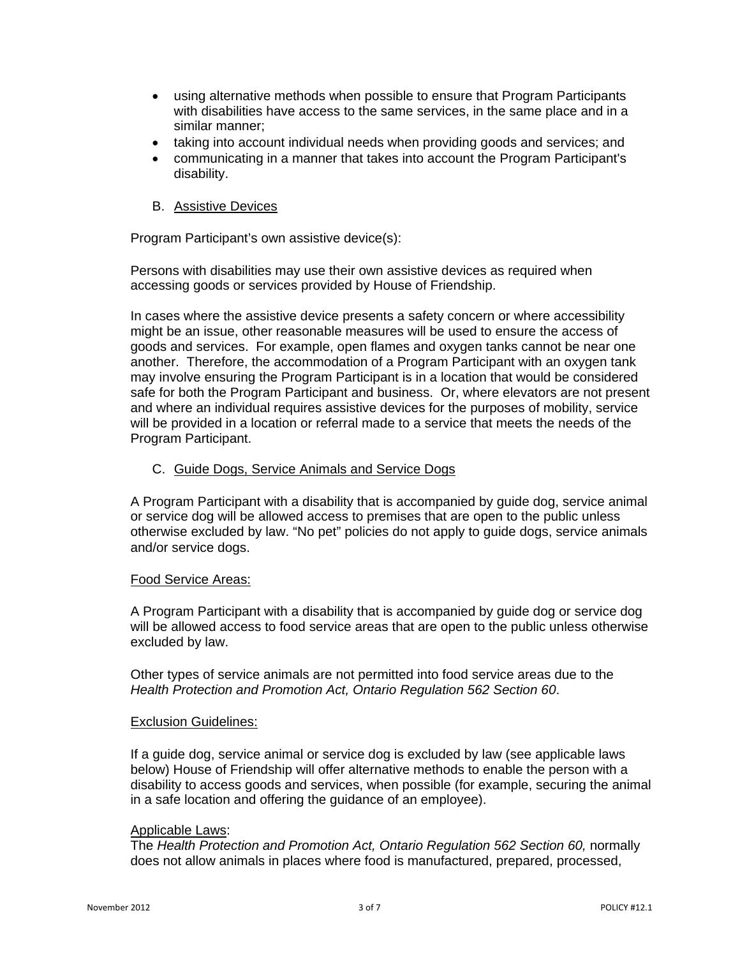- using alternative methods when possible to ensure that Program Participants with disabilities have access to the same services, in the same place and in a similar manner;
- taking into account individual needs when providing goods and services; and
- communicating in a manner that takes into account the Program Participant's disability.

## B. Assistive Devices

Program Participant's own assistive device(s):

Persons with disabilities may use their own assistive devices as required when accessing goods or services provided by House of Friendship.

In cases where the assistive device presents a safety concern or where accessibility might be an issue, other reasonable measures will be used to ensure the access of goods and services. For example, open flames and oxygen tanks cannot be near one another. Therefore, the accommodation of a Program Participant with an oxygen tank may involve ensuring the Program Participant is in a location that would be considered safe for both the Program Participant and business. Or, where elevators are not present and where an individual requires assistive devices for the purposes of mobility, service will be provided in a location or referral made to a service that meets the needs of the Program Participant.

### C. Guide Dogs, Service Animals and Service Dogs

A Program Participant with a disability that is accompanied by guide dog, service animal or service dog will be allowed access to premises that are open to the public unless otherwise excluded by law. "No pet" policies do not apply to guide dogs, service animals and/or service dogs.

#### Food Service Areas:

A Program Participant with a disability that is accompanied by guide dog or service dog will be allowed access to food service areas that are open to the public unless otherwise excluded by law.

Other types of service animals are not permitted into food service areas due to the *Health Protection and Promotion Act, Ontario Regulation 562 Section 60*.

#### Exclusion Guidelines:

If a guide dog, service animal or service dog is excluded by law (see applicable laws below) House of Friendship will offer alternative methods to enable the person with a disability to access goods and services, when possible (for example, securing the animal in a safe location and offering the guidance of an employee).

#### Applicable Laws:

The *Health Protection and Promotion Act, Ontario Regulation 562 Section 60,* normally does not allow animals in places where food is manufactured, prepared, processed,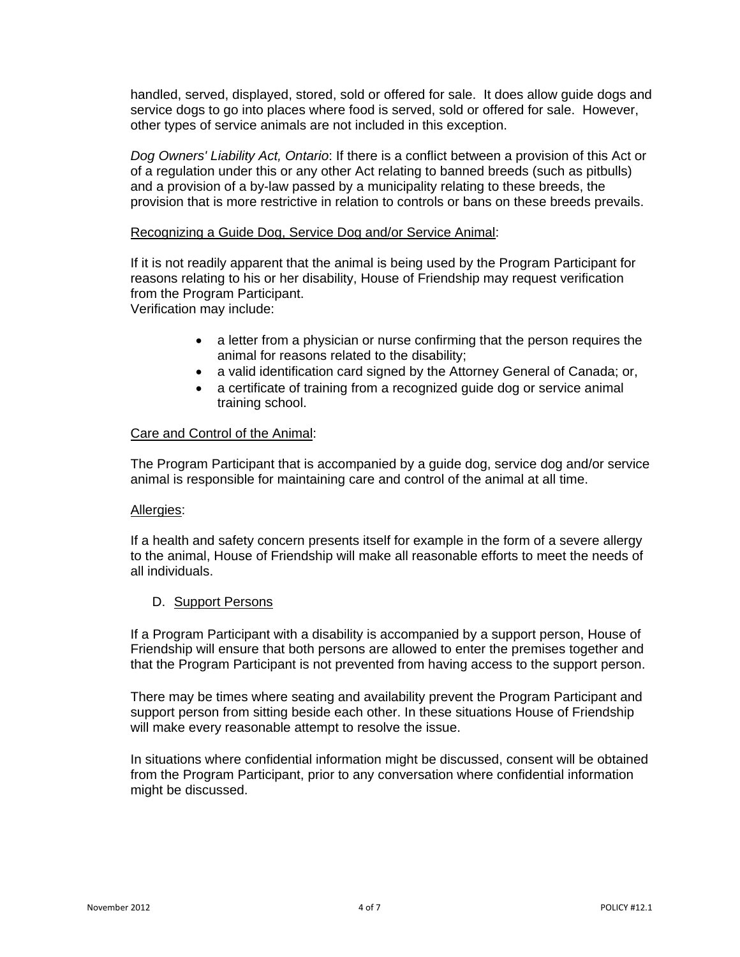handled, served, displayed, stored, sold or offered for sale. It does allow guide dogs and service dogs to go into places where food is served, sold or offered for sale. However, other types of service animals are not included in this exception.

*Dog Owners' Liability Act, Ontario*: If there is a conflict between a provision of this Act or of a regulation under this or any other Act relating to banned breeds (such as pitbulls) and a provision of a by-law passed by a municipality relating to these breeds, the provision that is more restrictive in relation to controls or bans on these breeds prevails.

#### Recognizing a Guide Dog, Service Dog and/or Service Animal:

If it is not readily apparent that the animal is being used by the Program Participant for reasons relating to his or her disability, House of Friendship may request verification from the Program Participant.

Verification may include:

- a letter from a physician or nurse confirming that the person requires the animal for reasons related to the disability;
- a valid identification card signed by the Attorney General of Canada; or,
- a certificate of training from a recognized guide dog or service animal training school.

### Care and Control of the Animal:

The Program Participant that is accompanied by a guide dog, service dog and/or service animal is responsible for maintaining care and control of the animal at all time.

#### Allergies:

If a health and safety concern presents itself for example in the form of a severe allergy to the animal, House of Friendship will make all reasonable efforts to meet the needs of all individuals.

#### D. Support Persons

If a Program Participant with a disability is accompanied by a support person, House of Friendship will ensure that both persons are allowed to enter the premises together and that the Program Participant is not prevented from having access to the support person.

There may be times where seating and availability prevent the Program Participant and support person from sitting beside each other. In these situations House of Friendship will make every reasonable attempt to resolve the issue.

In situations where confidential information might be discussed, consent will be obtained from the Program Participant, prior to any conversation where confidential information might be discussed.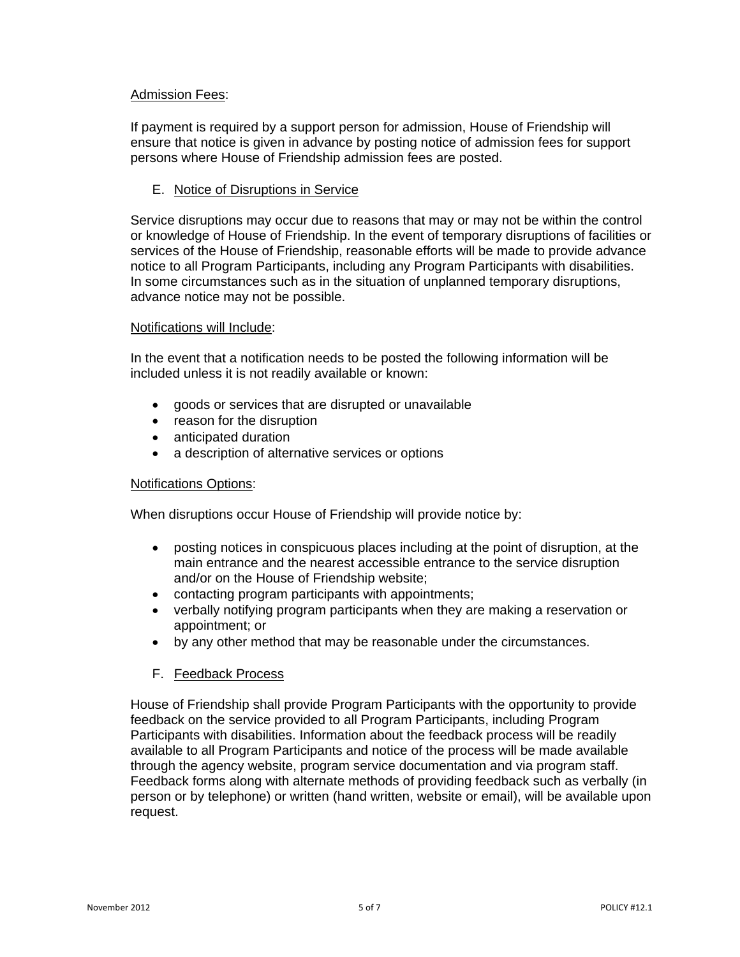## Admission Fees:

If payment is required by a support person for admission, House of Friendship will ensure that notice is given in advance by posting notice of admission fees for support persons where House of Friendship admission fees are posted.

## E. Notice of Disruptions in Service

Service disruptions may occur due to reasons that may or may not be within the control or knowledge of House of Friendship. In the event of temporary disruptions of facilities or services of the House of Friendship, reasonable efforts will be made to provide advance notice to all Program Participants, including any Program Participants with disabilities. In some circumstances such as in the situation of unplanned temporary disruptions, advance notice may not be possible.

#### Notifications will Include:

In the event that a notification needs to be posted the following information will be included unless it is not readily available or known:

- goods or services that are disrupted or unavailable
- reason for the disruption
- anticipated duration
- a description of alternative services or options

#### Notifications Options:

When disruptions occur House of Friendship will provide notice by:

- posting notices in conspicuous places including at the point of disruption, at the main entrance and the nearest accessible entrance to the service disruption and/or on the House of Friendship website;
- contacting program participants with appointments;
- verbally notifying program participants when they are making a reservation or appointment; or
- by any other method that may be reasonable under the circumstances.
- F. Feedback Process

House of Friendship shall provide Program Participants with the opportunity to provide feedback on the service provided to all Program Participants, including Program Participants with disabilities. Information about the feedback process will be readily available to all Program Participants and notice of the process will be made available through the agency website, program service documentation and via program staff. Feedback forms along with alternate methods of providing feedback such as verbally (in person or by telephone) or written (hand written, website or email), will be available upon request.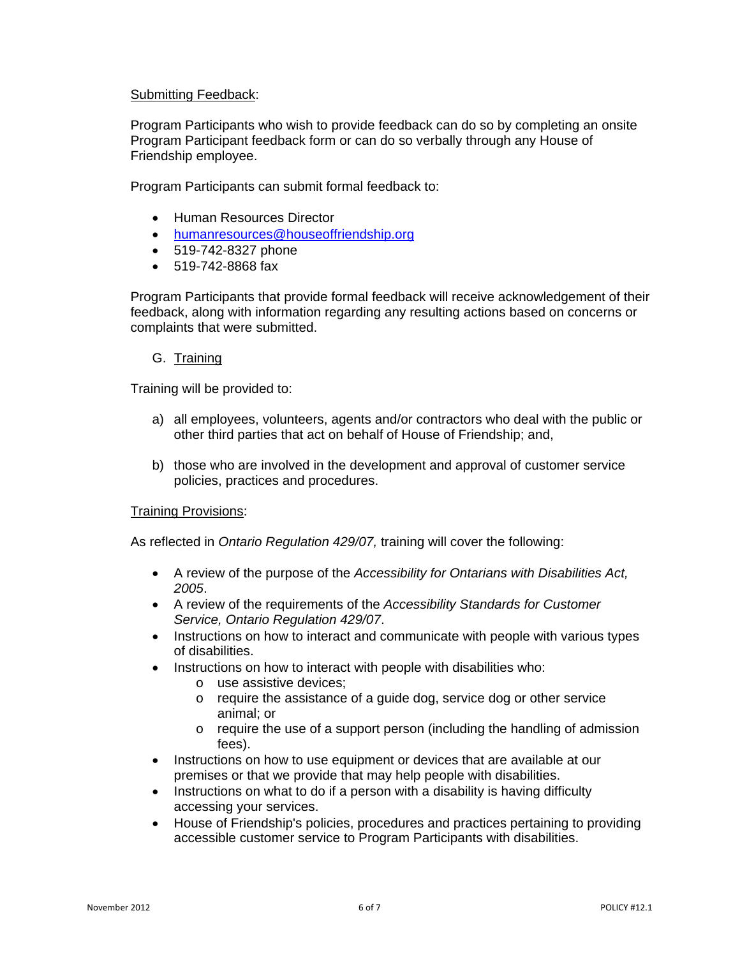### Submitting Feedback:

Program Participants who wish to provide feedback can do so by completing an onsite Program Participant feedback form or can do so verbally through any House of Friendship employee.

Program Participants can submit formal feedback to:

- Human Resources Director
- [humanresources@houseoffriendship.org](mailto:humanresources@houseoffriendship.org)
- 519-742-8327 phone
- 519-742-8868 fax

Program Participants that provide formal feedback will receive acknowledgement of their feedback, along with information regarding any resulting actions based on concerns or complaints that were submitted.

#### G. Training

Training will be provided to:

- a) all employees, volunteers, agents and/or contractors who deal with the public or other third parties that act on behalf of House of Friendship; and,
- b) those who are involved in the development and approval of customer service policies, practices and procedures.

#### Training Provisions:

As reflected in *Ontario Regulation 429/07,* training will cover the following:

- A review of the purpose of the *Accessibility for Ontarians with Disabilities Act, 2005*.
- A review of the requirements of the *Accessibility Standards for Customer Service, Ontario Regulation 429/07*.
- Instructions on how to interact and communicate with people with various types of disabilities.
- Instructions on how to interact with people with disabilities who:
	- o use assistive devices;
	- o require the assistance of a guide dog, service dog or other service animal; or
	- o require the use of a support person (including the handling of admission fees).
- Instructions on how to use equipment or devices that are available at our premises or that we provide that may help people with disabilities.
- Instructions on what to do if a person with a disability is having difficulty accessing your services.
- House of Friendship's policies, procedures and practices pertaining to providing accessible customer service to Program Participants with disabilities.